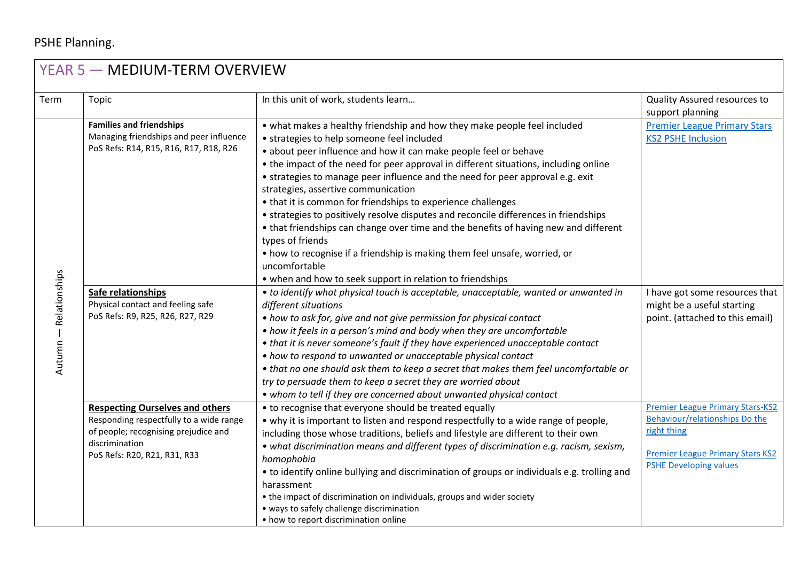## PSHE Planning.

| YEAR 5 - MEDIUM-TERM OVERVIEW |                                                                                   |                                                                                             |                                         |  |
|-------------------------------|-----------------------------------------------------------------------------------|---------------------------------------------------------------------------------------------|-----------------------------------------|--|
| Term                          | Topic                                                                             | In this unit of work, students learn                                                        | Quality Assured resources to            |  |
|                               |                                                                                   |                                                                                             | support planning                        |  |
|                               | <b>Families and friendships</b>                                                   | • what makes a healthy friendship and how they make people feel included                    | <b>Premier League Primary Stars</b>     |  |
|                               | Managing friendships and peer influence<br>PoS Refs: R14, R15, R16, R17, R18, R26 | • strategies to help someone feel included                                                  | <b>KS2 PSHE Inclusion</b>               |  |
|                               |                                                                                   | • about peer influence and how it can make people feel or behave                            |                                         |  |
|                               |                                                                                   | • the impact of the need for peer approval in different situations, including online        |                                         |  |
|                               |                                                                                   | • strategies to manage peer influence and the need for peer approval e.g. exit              |                                         |  |
|                               |                                                                                   | strategies, assertive communication                                                         |                                         |  |
|                               |                                                                                   | • that it is common for friendships to experience challenges                                |                                         |  |
|                               |                                                                                   | • strategies to positively resolve disputes and reconcile differences in friendships        |                                         |  |
|                               |                                                                                   | • that friendships can change over time and the benefits of having new and different        |                                         |  |
|                               |                                                                                   | types of friends                                                                            |                                         |  |
|                               |                                                                                   | • how to recognise if a friendship is making them feel unsafe, worried, or                  |                                         |  |
|                               |                                                                                   | uncomfortable                                                                               |                                         |  |
|                               |                                                                                   | • when and how to seek support in relation to friendships                                   |                                         |  |
|                               | Safe relationships                                                                | • to identify what physical touch is acceptable, unacceptable, wanted or unwanted in        | I have got some resources that          |  |
| Autumn - Relationships        | Physical contact and feeling safe                                                 | different situations                                                                        | might be a useful starting              |  |
|                               | PoS Refs: R9, R25, R26, R27, R29                                                  | • how to ask for, give and not give permission for physical contact                         | point. (attached to this email)         |  |
|                               |                                                                                   | • how it feels in a person's mind and body when they are uncomfortable                      |                                         |  |
|                               |                                                                                   | • that it is never someone's fault if they have experienced unacceptable contact            |                                         |  |
|                               |                                                                                   | • how to respond to unwanted or unacceptable physical contact                               |                                         |  |
|                               |                                                                                   | • that no one should ask them to keep a secret that makes them feel uncomfortable or        |                                         |  |
|                               |                                                                                   | try to persuade them to keep a secret they are worried about                                |                                         |  |
|                               |                                                                                   | • whom to tell if they are concerned about unwanted physical contact                        |                                         |  |
|                               | <b>Respecting Ourselves and others</b>                                            | • to recognise that everyone should be treated equally                                      | <b>Premier League Primary Stars-KS2</b> |  |
|                               | Responding respectfully to a wide range                                           | • why it is important to listen and respond respectfully to a wide range of people,         | Behaviour/relationships Do the          |  |
|                               | of people; recognising prejudice and                                              | including those whose traditions, beliefs and lifestyle are different to their own          | right thing                             |  |
|                               | discrimination<br>PoS Refs: R20, R21, R31, R33                                    | • what discrimination means and different types of discrimination e.g. racism, sexism,      | <b>Premier League Primary Stars KS2</b> |  |
|                               |                                                                                   | homophobia                                                                                  | <b>PSHE Developing values</b>           |  |
|                               |                                                                                   | • to identify online bullying and discrimination of groups or individuals e.g. trolling and |                                         |  |
|                               |                                                                                   | harassment                                                                                  |                                         |  |
|                               |                                                                                   | • the impact of discrimination on individuals, groups and wider society                     |                                         |  |
|                               |                                                                                   | · ways to safely challenge discrimination<br>• how to report discrimination online          |                                         |  |
|                               |                                                                                   |                                                                                             |                                         |  |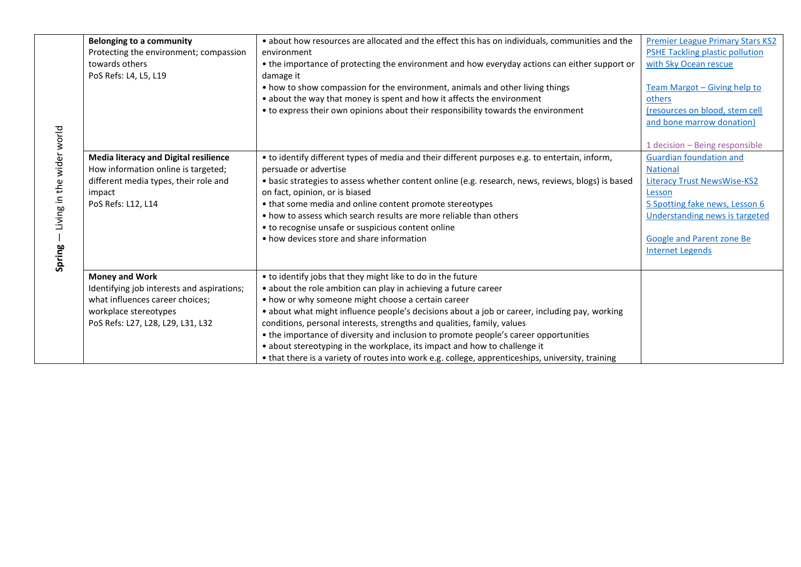|                           | <b>Belonging to a community</b>              | . about how resources are allocated and the effect this has on individuals, communities and the    | <b>Premier League Primary Stars KS2</b> |
|---------------------------|----------------------------------------------|----------------------------------------------------------------------------------------------------|-----------------------------------------|
|                           | Protecting the environment; compassion       | environment                                                                                        | <b>PSHE Tackling plastic pollution</b>  |
|                           | towards others                               | • the importance of protecting the environment and how everyday actions can either support or      | with Sky Ocean rescue                   |
|                           | PoS Refs: L4, L5, L19                        | damage it                                                                                          |                                         |
|                           |                                              | • how to show compassion for the environment, animals and other living things                      | Team Margot - Giving help to            |
|                           |                                              | • about the way that money is spent and how it affects the environment                             | others                                  |
|                           |                                              | • to express their own opinions about their responsibility towards the environment                 | (resources on blood, stem cell          |
|                           |                                              |                                                                                                    | and bone marrow donation)               |
|                           |                                              |                                                                                                    |                                         |
| Living in the wider world |                                              |                                                                                                    | 1 decision - Being responsible          |
|                           | <b>Media literacy and Digital resilience</b> | • to identify different types of media and their different purposes e.g. to entertain, inform,     | <b>Guardian foundation and</b>          |
|                           | How information online is targeted;          | persuade or advertise                                                                              | <b>National</b>                         |
|                           | different media types, their role and        | • basic strategies to assess whether content online (e.g. research, news, reviews, blogs) is based | <b>Literacy Trust NewsWise-KS2</b>      |
|                           | impact                                       | on fact, opinion, or is biased                                                                     | Lesson                                  |
|                           | PoS Refs: L12, L14                           | • that some media and online content promote stereotypes                                           | 5 Spotting fake news, Lesson 6          |
|                           |                                              | • how to assess which search results are more reliable than others                                 | <b>Understanding news is targeted</b>   |
|                           |                                              | • to recognise unsafe or suspicious content online                                                 |                                         |
|                           |                                              | • how devices store and share information                                                          | <b>Google and Parent zone Be</b>        |
|                           |                                              |                                                                                                    | <b>Internet Legends</b>                 |
| <b>Spring</b>             |                                              |                                                                                                    |                                         |
|                           | <b>Money and Work</b>                        | • to identify jobs that they might like to do in the future                                        |                                         |
|                           |                                              |                                                                                                    |                                         |
|                           | Identifying job interests and aspirations;   | • about the role ambition can play in achieving a future career                                    |                                         |
|                           | what influences career choices;              | • how or why someone might choose a certain career                                                 |                                         |
|                           | workplace stereotypes                        | • about what might influence people's decisions about a job or career, including pay, working      |                                         |
|                           | PoS Refs: L27, L28, L29, L31, L32            | conditions, personal interests, strengths and qualities, family, values                            |                                         |
|                           |                                              | • the importance of diversity and inclusion to promote people's career opportunities               |                                         |
|                           |                                              | • about stereotyping in the workplace, its impact and how to challenge it                          |                                         |
|                           |                                              | • that there is a variety of routes into work e.g. college, apprenticeships, university, training  |                                         |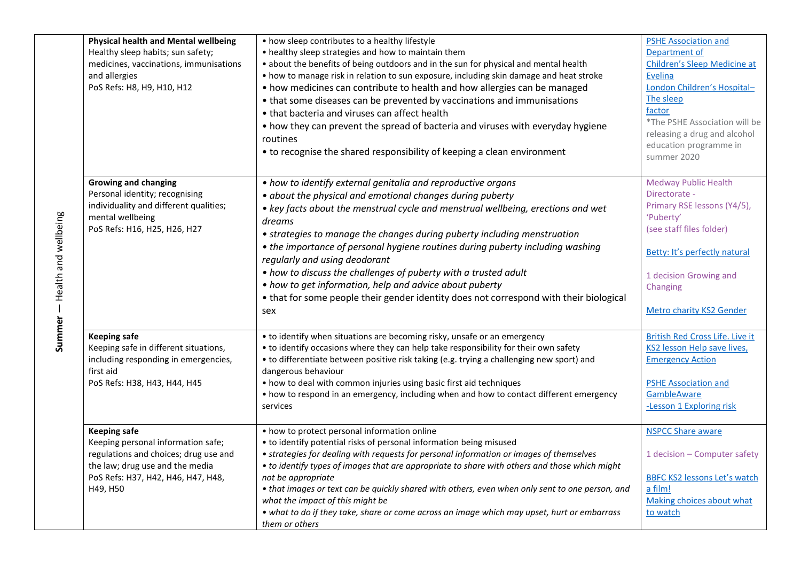| <b>Physical health and Mental wellbeing</b><br>Healthy sleep habits; sun safety;<br>medicines, vaccinations, immunisations<br>and allergies<br>PoS Refs: H8, H9, H10, H12               | • how sleep contributes to a healthy lifestyle<br>• healthy sleep strategies and how to maintain them<br>• about the benefits of being outdoors and in the sun for physical and mental health<br>• how to manage risk in relation to sun exposure, including skin damage and heat stroke<br>• how medicines can contribute to health and how allergies can be managed<br>• that some diseases can be prevented by vaccinations and immunisations<br>• that bacteria and viruses can affect health<br>• how they can prevent the spread of bacteria and viruses with everyday hygiene<br>routines<br>• to recognise the shared responsibility of keeping a clean environment | <b>PSHE Association and</b><br>Department of<br>Children's Sleep Medicine at<br>Evelina<br>London Children's Hospital-<br>The sleep<br>factor<br>*The PSHE Association will be<br>releasing a drug and alcohol<br>education programme in<br>summer 2020 |
|-----------------------------------------------------------------------------------------------------------------------------------------------------------------------------------------|-----------------------------------------------------------------------------------------------------------------------------------------------------------------------------------------------------------------------------------------------------------------------------------------------------------------------------------------------------------------------------------------------------------------------------------------------------------------------------------------------------------------------------------------------------------------------------------------------------------------------------------------------------------------------------|---------------------------------------------------------------------------------------------------------------------------------------------------------------------------------------------------------------------------------------------------------|
| <b>Growing and changing</b><br>Personal identity; recognising<br>individuality and different qualities;<br>mental wellbeing<br>PoS Refs: H16, H25, H26, H27                             | • how to identify external genitalia and reproductive organs<br>• about the physical and emotional changes during puberty<br>• key facts about the menstrual cycle and menstrual wellbeing, erections and wet<br>dreams<br>• strategies to manage the changes during puberty including menstruation<br>• the importance of personal hygiene routines during puberty including washing<br>regularly and using deodorant<br>• how to discuss the challenges of puberty with a trusted adult<br>• how to get information, help and advice about puberty<br>• that for some people their gender identity does not correspond with their biological<br>sex                       | <b>Medway Public Health</b><br>Directorate -<br>Primary RSE lessons (Y4/5),<br>'Puberty'<br>(see staff files folder)<br>Betty: It's perfectly natural<br>1 decision Growing and<br>Changing<br>Metro charity KS2 Gender                                 |
| <b>Keeping safe</b><br>Keeping safe in different situations,<br>including responding in emergencies,<br>first aid<br>PoS Refs: H38, H43, H44, H45                                       | • to identify when situations are becoming risky, unsafe or an emergency<br>• to identify occasions where they can help take responsibility for their own safety<br>• to differentiate between positive risk taking (e.g. trying a challenging new sport) and<br>dangerous behaviour<br>• how to deal with common injuries using basic first aid techniques<br>• how to respond in an emergency, including when and how to contact different emergency<br>services                                                                                                                                                                                                          | <b>British Red Cross Life. Live it</b><br>KS2 lesson Help save lives,<br><b>Emergency Action</b><br><b>PSHE Association and</b><br>GambleAware<br>-Lesson 1 Exploring risk                                                                              |
| <b>Keeping safe</b><br>Keeping personal information safe;<br>regulations and choices; drug use and<br>the law; drug use and the media<br>PoS Refs: H37, H42, H46, H47, H48,<br>H49, H50 | • how to protect personal information online<br>• to identify potential risks of personal information being misused<br>• strategies for dealing with requests for personal information or images of themselves<br>• to identify types of images that are appropriate to share with others and those which might<br>not be appropriate<br>• that images or text can be quickly shared with others, even when only sent to one person, and<br>what the impact of this might be<br>• what to do if they take, share or come across an image which may upset, hurt or embarrass<br>them or others                                                                               | <b>NSPCC Share aware</b><br>1 decision - Computer safety<br><b>BBFC KS2 lessons Let's watch</b><br>a film!<br>Making choices about what<br>to watch                                                                                                     |

**Summer** – Health and wellbeing — Health and wellbeing